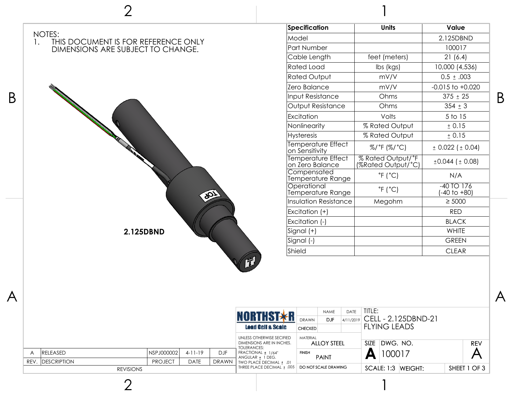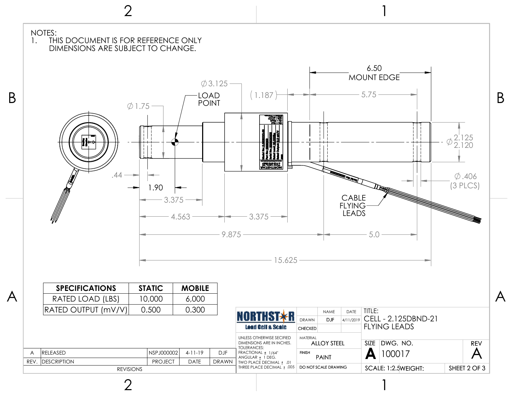